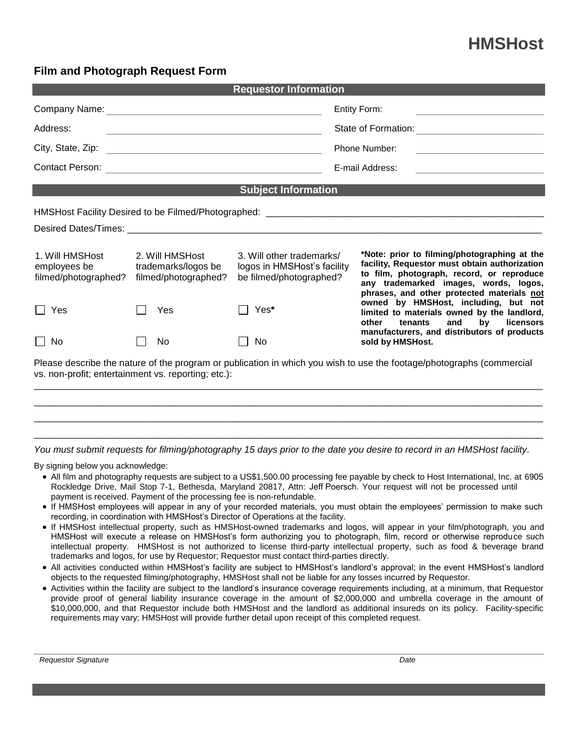## **HMSHost**

## **Film and Photograph Request Form**

| <b>Requestor Information</b>                                                                                                                                                                                                   |                                                                |                                                                                     |                                                                                                                                                |                                                                                                                                                                                                                                                                                                                                                                                                                                           |  |  |  |
|--------------------------------------------------------------------------------------------------------------------------------------------------------------------------------------------------------------------------------|----------------------------------------------------------------|-------------------------------------------------------------------------------------|------------------------------------------------------------------------------------------------------------------------------------------------|-------------------------------------------------------------------------------------------------------------------------------------------------------------------------------------------------------------------------------------------------------------------------------------------------------------------------------------------------------------------------------------------------------------------------------------------|--|--|--|
|                                                                                                                                                                                                                                |                                                                |                                                                                     |                                                                                                                                                | <b>Entity Form:</b>                                                                                                                                                                                                                                                                                                                                                                                                                       |  |  |  |
| Address:<br><u> 1980 - Johann Barbara, martin amerikan basal dan berasal dalam basal dalam basal dan basal dan basal dalam ba</u>                                                                                              |                                                                |                                                                                     |                                                                                                                                                |                                                                                                                                                                                                                                                                                                                                                                                                                                           |  |  |  |
|                                                                                                                                                                                                                                |                                                                |                                                                                     | <b>Phone Number:</b><br><u> 1980 - Johann Stoff, deutscher Stoffen und der Stoffen und der Stoffen und der Stoffen und der Stoffen und der</u> |                                                                                                                                                                                                                                                                                                                                                                                                                                           |  |  |  |
|                                                                                                                                                                                                                                |                                                                |                                                                                     |                                                                                                                                                | E-mail Address:<br>the contract of the contract of the contract of the contract of the contract of                                                                                                                                                                                                                                                                                                                                        |  |  |  |
|                                                                                                                                                                                                                                |                                                                | <b>Subject Information</b>                                                          |                                                                                                                                                |                                                                                                                                                                                                                                                                                                                                                                                                                                           |  |  |  |
|                                                                                                                                                                                                                                |                                                                |                                                                                     |                                                                                                                                                |                                                                                                                                                                                                                                                                                                                                                                                                                                           |  |  |  |
| Desired Dates/Times: Note that the contract of the contract of the contract of the contract of the contract of the contract of the contract of the contract of the contract of the contract of the contract of the contract of |                                                                |                                                                                     |                                                                                                                                                |                                                                                                                                                                                                                                                                                                                                                                                                                                           |  |  |  |
| 1. Will HMSHost<br>employees be<br>filmed/photographed?                                                                                                                                                                        | 2. Will HMSHost<br>trademarks/logos be<br>filmed/photographed? | 3. Will other trademarks/<br>logos in HMSHost's facility<br>be filmed/photographed? |                                                                                                                                                | *Note: prior to filming/photographing at the<br>facility, Requestor must obtain authorization<br>to film, photograph, record, or reproduce<br>any trademarked images, words, logos,<br>phrases, and other protected materials not<br>owned by HMSHost, including, but not<br>limited to materials owned by the landlord,<br>licensors<br>tenants<br>and<br>by<br>other<br>manufacturers, and distributors of products<br>sold by HMSHost. |  |  |  |
| Yes                                                                                                                                                                                                                            | Yes                                                            | Yes*                                                                                |                                                                                                                                                |                                                                                                                                                                                                                                                                                                                                                                                                                                           |  |  |  |
| <b>No</b>                                                                                                                                                                                                                      | No                                                             | No                                                                                  |                                                                                                                                                |                                                                                                                                                                                                                                                                                                                                                                                                                                           |  |  |  |
| Please describe the nature of the program or publication in which you wish to use the footage/photographs (commercial<br>vs. non-profit; entertainment vs. reporting; etc.):                                                   |                                                                |                                                                                     |                                                                                                                                                |                                                                                                                                                                                                                                                                                                                                                                                                                                           |  |  |  |
|                                                                                                                                                                                                                                |                                                                |                                                                                     |                                                                                                                                                |                                                                                                                                                                                                                                                                                                                                                                                                                                           |  |  |  |

*You must submit requests for filming/photography 15 days prior to the date you desire to record in an HMSHost facility.*

 $\Box$  $\Box$ 

By signing below you acknowledge:

- All film and photography requests are subject to a US\$1,500.00 processing fee payable by check to Host International, Inc. at 6905 Rockledge Drive, Mail Stop 7-1, Bethesda, Maryland 20817, Attn: Jeff Poersch. Your request will not be processed until payment is received. Payment of the processing fee is non-refundable.
- If HMSHost employees will appear in any of your recorded materials, you must obtain the employees' permission to make such recording, in coordination with HMSHost's Director of Operations at the facility.
- If HMSHost intellectual property, such as HMSHost-owned trademarks and logos, will appear in your film/photograph, you and HMSHost will execute a release on HMSHost's form authorizing you to photograph, film, record or otherwise reproduce such intellectual property. HMSHost is not authorized to license third-party intellectual property, such as food & beverage brand trademarks and logos, for use by Requestor; Requestor must contact third-parties directly.
- All activities conducted within HMSHost's facility are subject to HMSHost's landlord's approval; in the event HMSHost's landlord objects to the requested filming/photography, HMSHost shall not be liable for any losses incurred by Requestor.
- Activities within the facility are subject to the landlord's insurance coverage requirements including, at a minimum, that Requestor provide proof of general liability insurance coverage in the amount of \$2,000,000 and umbrella coverage in the amount of \$10,000,000, and that Requestor include both HMSHost and the landlord as additional insureds on its policy. Facility-specific requirements may vary; HMSHost will provide further detail upon receipt of this completed request.